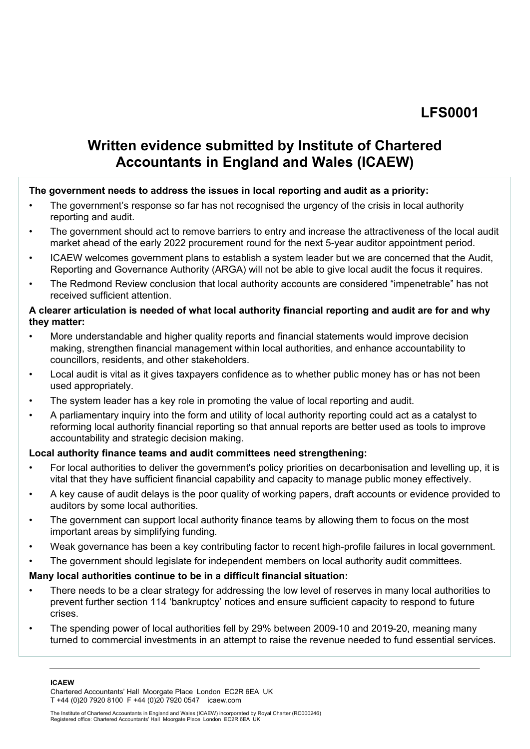# **[LFS0001](https://admin.committees.parliament.uk/Document/DownloadFile/82139)**

## **Written evidence submitted by Institute of Chartered Accountants in England and Wales (ICAEW)**

## **The government needs to address the issues in local reporting and audit as a priority:**

- The government's response so far has not recognised the urgency of the crisis in local authority reporting and audit.
- The government should act to remove barriers to entry and increase the attractiveness of the local audit market ahead of the early 2022 procurement round for the next 5-year auditor appointment period.
- ICAEW welcomes government plans to establish a system leader but we are concerned that the Audit, Reporting and Governance Authority (ARGA) will not be able to give local audit the focus it requires.
- The Redmond Review conclusion that local authority accounts are considered "impenetrable" has not received sufficient attention.

#### **A clearer articulation is needed of what local authority financial reporting and audit are for and why they matter:**

- More understandable and higher quality reports and financial statements would improve decision making, strengthen financial management within local authorities, and enhance accountability to councillors, residents, and other stakeholders.
- Local audit is vital as it gives taxpayers confidence as to whether public money has or has not been used appropriately.
- The system leader has a key role in promoting the value of local reporting and audit.
- A parliamentary inquiry into the form and utility of local authority reporting could act as a catalyst to reforming local authority financial reporting so that annual reports are better used as tools to improve accountability and strategic decision making.

#### **Local authority finance teams and audit committees need strengthening:**

- For local authorities to deliver the government's policy priorities on decarbonisation and levelling up, it is vital that they have sufficient financial capability and capacity to manage public money effectively.
- A key cause of audit delays is the poor quality of working papers, draft accounts or evidence provided to auditors by some local authorities.
- The government can support local authority finance teams by allowing them to focus on the most important areas by simplifying funding.
- Weak governance has been a key contributing factor to recent high-profile failures in local government.
- The government should legislate for independent members on local authority audit committees.

#### **Many local authorities continue to be in a difficult financial situation:**

- There needs to be a clear strategy for addressing the low level of reserves in many local authorities to prevent further section 114 'bankruptcy' notices and ensure sufficient capacity to respond to future crises.
- The spending power of local authorities fell by 29% between 2009-10 and 2019-20, meaning many turned to commercial investments in an attempt to raise the revenue needed to fund essential services.

**ICAEW** 

Chartered Accountants' Hall Moorgate Place London EC2R 6EA UK T +44 (0)20 7920 8100 F +44 (0)20 7920 0547 icaew.com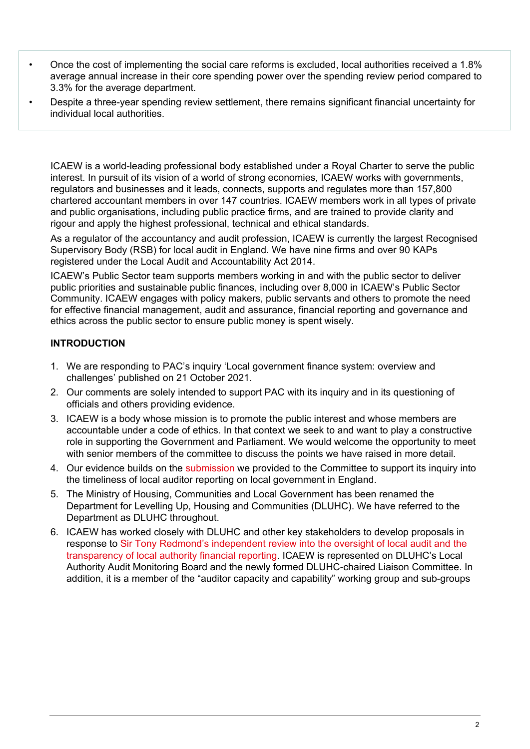- Once the cost of implementing the social care reforms is excluded, local authorities received a 1.8% average annual increase in their core spending power over the spending review period compared to 3.3% for the average department.
- Despite a three-year spending review settlement, there remains significant financial uncertainty for individual local authorities.

ICAEW is a world-leading professional body established under a Royal Charter to serve the public interest. In pursuit of its vision of a world of strong economies, ICAEW works with governments, regulators and businesses and it leads, connects, supports and regulates more than 157,800 chartered accountant members in over 147 countries. ICAEW members work in all types of private and public organisations, including public practice firms, and are trained to provide clarity and rigour and apply the highest professional, technical and ethical standards.

As a regulator of the accountancy and audit profession, ICAEW is currently the largest Recognised Supervisory Body (RSB) for local audit in England. We have nine firms and over 90 KAPs registered under the Local Audit and Accountability Act 2014.

ICAEW's Public Sector team supports members working in and with the public sector to deliver public priorities and sustainable public finances, including over 8,000 in ICAEW's Public Sector Community. ICAEW engages with policy makers, public servants and others to promote the need for effective financial management, audit and assurance, financial reporting and governance and ethics across the public sector to ensure public money is spent wisely.

## **INTRODUCTION**

- 1. We are responding to PAC's inquiry 'Local government finance system: overview and challenges' published on 21 October 2021.
- 2. Our comments are solely intended to support PAC with its inquiry and in its questioning of officials and others providing evidence.
- 3. ICAEW is a body whose mission is to promote the public interest and whose members are accountable under a code of ethics. In that context we seek to and want to play a constructive role in supporting the Government and Parliament. We would welcome the opportunity to meet with senior members of the committee to discuss the points we have raised in more detail.
- 4. Our evidence builds on the [submission](https://www.icaew.com/-/media/corporate/files/technical/icaew-representations/2021/icaew-rep-51-21-timeliness-of-auditor-reporting-on-local-government-in-england.ashx) we provided to the Committee to support its inquiry into the timeliness of local auditor reporting on local government in England.
- 5. The Ministry of Housing, Communities and Local Government has been renamed the Department for Levelling Up, Housing and Communities (DLUHC). We have referred to the Department as DLUHC throughout.
- 6. ICAEW has worked closely with DLUHC and other key stakeholders to develop proposals in response to [Sir](https://assets.publishing.service.gov.uk/government/uploads/system/uploads/attachment_data/file/916217/Redmond_Review.pdf) [Tony](https://assets.publishing.service.gov.uk/government/uploads/system/uploads/attachment_data/file/916217/Redmond_Review.pdf) [Redmond's](https://assets.publishing.service.gov.uk/government/uploads/system/uploads/attachment_data/file/916217/Redmond_Review.pdf) [independent](https://assets.publishing.service.gov.uk/government/uploads/system/uploads/attachment_data/file/916217/Redmond_Review.pdf) [review](https://assets.publishing.service.gov.uk/government/uploads/system/uploads/attachment_data/file/916217/Redmond_Review.pdf) [into](https://assets.publishing.service.gov.uk/government/uploads/system/uploads/attachment_data/file/916217/Redmond_Review.pdf) [the](https://assets.publishing.service.gov.uk/government/uploads/system/uploads/attachment_data/file/916217/Redmond_Review.pdf) [oversight](https://assets.publishing.service.gov.uk/government/uploads/system/uploads/attachment_data/file/916217/Redmond_Review.pdf) [of](https://assets.publishing.service.gov.uk/government/uploads/system/uploads/attachment_data/file/916217/Redmond_Review.pdf) [local](https://assets.publishing.service.gov.uk/government/uploads/system/uploads/attachment_data/file/916217/Redmond_Review.pdf) [audit](https://assets.publishing.service.gov.uk/government/uploads/system/uploads/attachment_data/file/916217/Redmond_Review.pdf) [and](https://assets.publishing.service.gov.uk/government/uploads/system/uploads/attachment_data/file/916217/Redmond_Review.pdf) [the](https://assets.publishing.service.gov.uk/government/uploads/system/uploads/attachment_data/file/916217/Redmond_Review.pdf) [transparency](https://assets.publishing.service.gov.uk/government/uploads/system/uploads/attachment_data/file/916217/Redmond_Review.pdf) [of](https://assets.publishing.service.gov.uk/government/uploads/system/uploads/attachment_data/file/916217/Redmond_Review.pdf) [local](https://assets.publishing.service.gov.uk/government/uploads/system/uploads/attachment_data/file/916217/Redmond_Review.pdf) [authority](https://assets.publishing.service.gov.uk/government/uploads/system/uploads/attachment_data/file/916217/Redmond_Review.pdf) [financial](https://assets.publishing.service.gov.uk/government/uploads/system/uploads/attachment_data/file/916217/Redmond_Review.pdf) [reporting](https://assets.publishing.service.gov.uk/government/uploads/system/uploads/attachment_data/file/916217/Redmond_Review.pdf). ICAEW is represented on DLUHC's Local Authority Audit Monitoring Board and the newly formed DLUHC-chaired Liaison Committee. In addition, it is a member of the "auditor capacity and capability" working group and sub-groups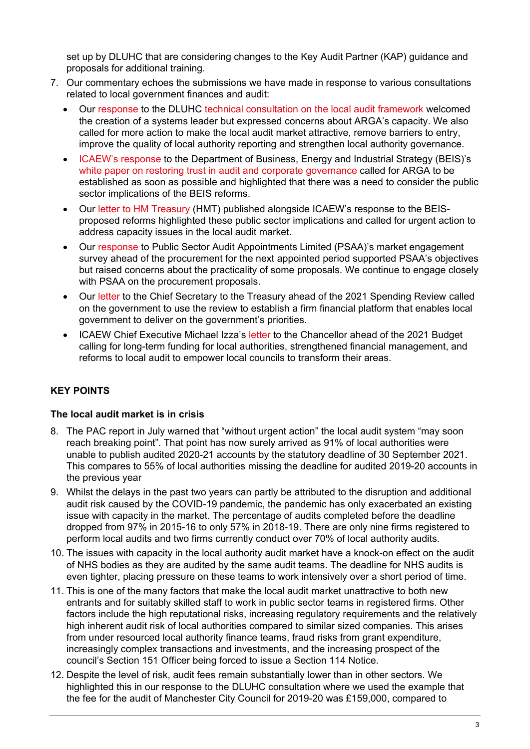set up by DLUHC that are considering changes to the Key Audit Partner (KAP) guidance and proposals for additional training.

- 7. Our commentary echoes the submissions we have made in response to various consultations related to local government finances and audit:
	- Our [response](https://www.icaew.com/-/media/corporate/files/technical/icaew-representations/2021/icaew-rep-89-21-mhclg-consultation.ashx) to the DLUHC [technical](https://www.gov.uk/government/consultations/local-audit-framework-technical-consultation/local-audit-framework-technical-consultation) [consultation](https://www.gov.uk/government/consultations/local-audit-framework-technical-consultation/local-audit-framework-technical-consultation) [on](https://www.gov.uk/government/consultations/local-audit-framework-technical-consultation/local-audit-framework-technical-consultation) [the](https://www.gov.uk/government/consultations/local-audit-framework-technical-consultation/local-audit-framework-technical-consultation) [local](https://www.gov.uk/government/consultations/local-audit-framework-technical-consultation/local-audit-framework-technical-consultation) [audit](https://www.gov.uk/government/consultations/local-audit-framework-technical-consultation/local-audit-framework-technical-consultation) [framework](https://www.gov.uk/government/consultations/local-audit-framework-technical-consultation/local-audit-framework-technical-consultation) welcomed the creation of a systems leader but expressed concerns about ARGA's capacity. We also called for more action to make the local audit market attractive, remove barriers to entry, improve the quality of local authority reporting and strengthen local authority governance.
	- [ICAEW's](https://www.icaew.com/-/media/corporate/files/technical/icaew-representations/2021/icaew-rep-6321-restoring-trust-in-audit-and-corporate-governance.ashx) [response](https://www.icaew.com/-/media/corporate/files/technical/icaew-representations/2021/icaew-rep-6321-restoring-trust-in-audit-and-corporate-governance.ashx) to the Department of Business, Energy and Industrial Strategy (BEIS)'s [white](https://assets.publishing.service.gov.uk/government/uploads/system/uploads/attachment_data/file/970676/restoring-trust-in-audit-and-corporate-governance-command-paper.pdf) [paper](https://assets.publishing.service.gov.uk/government/uploads/system/uploads/attachment_data/file/970676/restoring-trust-in-audit-and-corporate-governance-command-paper.pdf) [on](https://assets.publishing.service.gov.uk/government/uploads/system/uploads/attachment_data/file/970676/restoring-trust-in-audit-and-corporate-governance-command-paper.pdf) [restoring](https://assets.publishing.service.gov.uk/government/uploads/system/uploads/attachment_data/file/970676/restoring-trust-in-audit-and-corporate-governance-command-paper.pdf) [trust](https://assets.publishing.service.gov.uk/government/uploads/system/uploads/attachment_data/file/970676/restoring-trust-in-audit-and-corporate-governance-command-paper.pdf) [in](https://assets.publishing.service.gov.uk/government/uploads/system/uploads/attachment_data/file/970676/restoring-trust-in-audit-and-corporate-governance-command-paper.pdf) [audit](https://assets.publishing.service.gov.uk/government/uploads/system/uploads/attachment_data/file/970676/restoring-trust-in-audit-and-corporate-governance-command-paper.pdf) [and](https://assets.publishing.service.gov.uk/government/uploads/system/uploads/attachment_data/file/970676/restoring-trust-in-audit-and-corporate-governance-command-paper.pdf) [corporate](https://assets.publishing.service.gov.uk/government/uploads/system/uploads/attachment_data/file/970676/restoring-trust-in-audit-and-corporate-governance-command-paper.pdf) [governance](https://assets.publishing.service.gov.uk/government/uploads/system/uploads/attachment_data/file/970676/restoring-trust-in-audit-and-corporate-governance-command-paper.pdf) called for ARGA to be established as soon as possible and highlighted that there was a need to consider the public sector implications of the BEIS reforms.
	- Our [letter](https://www.icaew.com/-/media/corporate/files/technical/icaew-representations/2021/icaew-rep-6921-letter-on-public-sector-implications-of-audit-reforms.ashx) [to](https://www.icaew.com/-/media/corporate/files/technical/icaew-representations/2021/icaew-rep-6921-letter-on-public-sector-implications-of-audit-reforms.ashx) [HM](https://www.icaew.com/-/media/corporate/files/technical/icaew-representations/2021/icaew-rep-6921-letter-on-public-sector-implications-of-audit-reforms.ashx) [Treasury](https://www.icaew.com/-/media/corporate/files/technical/icaew-representations/2021/icaew-rep-6921-letter-on-public-sector-implications-of-audit-reforms.ashx) (HMT) published alongside ICAEW's response to the BEISproposed reforms highlighted these public sector implications and called for urgent action to address capacity issues in the local audit market.
	- Our [response](https://www.icaew.com/-/media/corporate/files/technical/icaew-representations/2021/icaew-rep-6421-market-engagement-survey-on-the-procurement-strategy-for-local-authority-auditors-for.ashx) to Public Sector Audit Appointments Limited (PSAA)'s market engagement survey ahead of the procurement for the next appointed period supported PSAA's objectives but raised concerns about the practicality of some proposals. We continue to engage closely with PSAA on the procurement proposals.
	- Our [letter](https://www.icaew.com/-/media/corporate/files/technical/icaew-representations/2021/icaew-rep-9721-spending-review-2021-a-financial-platform-for-delivery.ashx) to the Chief Secretary to the Treasury ahead of the 2021 Spending Review called on the government to use the review to establish a firm financial platform that enables local government to deliver on the government's priorities.
	- ICAEW Chief Executive Michael Izza's [letter](https://www.icaew.com/-/media/corporate/files/technical/economy/budget-2021/icaew-letter-to-the-chancellor-autumn-budget-2021.ashx?la=en) to the Chancellor ahead of the 2021 Budget calling for long-term funding for local authorities, strengthened financial management, and reforms to local audit to empower local councils to transform their areas.

## **KEY POINTS**

## **The local audit market is in crisis**

- 8. The PAC report in July warned that "without urgent action" the local audit system "may soon reach breaking point". That point has now surely arrived as 91% of local authorities were unable to publish audited 2020-21 accounts by the statutory deadline of 30 September 2021. This compares to 55% of local authorities missing the deadline for audited 2019-20 accounts in the previous year
- 9. Whilst the delays in the past two years can partly be attributed to the disruption and additional audit risk caused by the COVID-19 pandemic, the pandemic has only exacerbated an existing issue with capacity in the market. The percentage of audits completed before the deadline dropped from 97% in 2015-16 to only 57% in 2018-19. There are only nine firms registered to perform local audits and two firms currently conduct over 70% of local authority audits.
- 10. The issues with capacity in the local authority audit market have a knock-on effect on the audit of NHS bodies as they are audited by the same audit teams. The deadline for NHS audits is even tighter, placing pressure on these teams to work intensively over a short period of time.
- 11. This is one of the many factors that make the local audit market unattractive to both new entrants and for suitably skilled staff to work in public sector teams in registered firms. Other factors include the high reputational risks, increasing regulatory requirements and the relatively high inherent audit risk of local authorities compared to similar sized companies. This arises from under resourced local authority finance teams, fraud risks from grant expenditure, increasingly complex transactions and investments, and the increasing prospect of the council's Section 151 Officer being forced to issue a Section 114 Notice.
- 12. Despite the level of risk, audit fees remain substantially lower than in other sectors. We highlighted this in our response to the DLUHC consultation where we used the example that the fee for the audit of Manchester City Council for 2019-20 was £159,000, compared to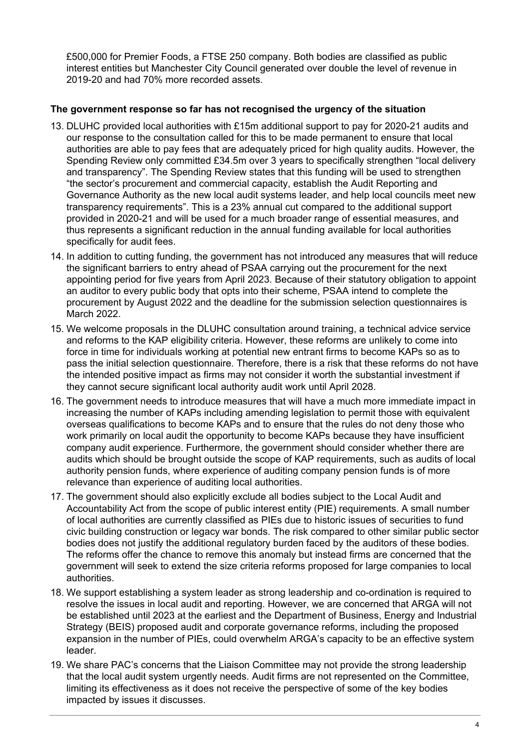£500,000 for Premier Foods, a FTSE 250 company. Both bodies are classified as public interest entities but Manchester City Council generated over double the level of revenue in 2019-20 and had 70% more recorded assets.

#### **The government response so far has not recognised the urgency of the situation**

- 13. DLUHC provided local authorities with £15m additional support to pay for 2020-21 audits and our response to the consultation called for this to be made permanent to ensure that local authorities are able to pay fees that are adequately priced for high quality audits. However, the Spending Review only committed £34.5m over 3 years to specifically strengthen "local delivery and transparency". The Spending Review states that this funding will be used to strengthen "the sector's procurement and commercial capacity, establish the Audit Reporting and Governance Authority as the new local audit systems leader, and help local councils meet new transparency requirements". This is a 23% annual cut compared to the additional support provided in 2020-21 and will be used for a much broader range of essential measures, and thus represents a significant reduction in the annual funding available for local authorities specifically for audit fees.
- 14. In addition to cutting funding, the government has not introduced any measures that will reduce the significant barriers to entry ahead of PSAA carrying out the procurement for the next appointing period for five years from April 2023. Because of their statutory obligation to appoint an auditor to every public body that opts into their scheme, PSAA intend to complete the procurement by August 2022 and the deadline for the submission selection questionnaires is March 2022.
- 15. We welcome proposals in the DLUHC consultation around training, a technical advice service and reforms to the KAP eligibility criteria. However, these reforms are unlikely to come into force in time for individuals working at potential new entrant firms to become KAPs so as to pass the initial selection questionnaire. Therefore, there is a risk that these reforms do not have the intended positive impact as firms may not consider it worth the substantial investment if they cannot secure significant local authority audit work until April 2028.
- 16. The government needs to introduce measures that will have a much more immediate impact in increasing the number of KAPs including amending legislation to permit those with equivalent overseas qualifications to become KAPs and to ensure that the rules do not deny those who work primarily on local audit the opportunity to become KAPs because they have insufficient company audit experience. Furthermore, the government should consider whether there are audits which should be brought outside the scope of KAP requirements, such as audits of local authority pension funds, where experience of auditing company pension funds is of more relevance than experience of auditing local authorities.
- 17. The government should also explicitly exclude all bodies subject to the Local Audit and Accountability Act from the scope of public interest entity (PIE) requirements. A small number of local authorities are currently classified as PIEs due to historic issues of securities to fund civic building construction or legacy war bonds. The risk compared to other similar public sector bodies does not justify the additional regulatory burden faced by the auditors of these bodies. The reforms offer the chance to remove this anomaly but instead firms are concerned that the government will seek to extend the size criteria reforms proposed for large companies to local authorities.
- 18. We support establishing a system leader as strong leadership and co-ordination is required to resolve the issues in local audit and reporting. However, we are concerned that ARGA will not be established until 2023 at the earliest and the Department of Business, Energy and Industrial Strategy (BEIS) proposed audit and corporate governance reforms, including the proposed expansion in the number of PIEs, could overwhelm ARGA's capacity to be an effective system leader.
- 19. We share PAC's concerns that the Liaison Committee may not provide the strong leadership that the local audit system urgently needs. Audit firms are not represented on the Committee, limiting its effectiveness as it does not receive the perspective of some of the key bodies impacted by issues it discusses.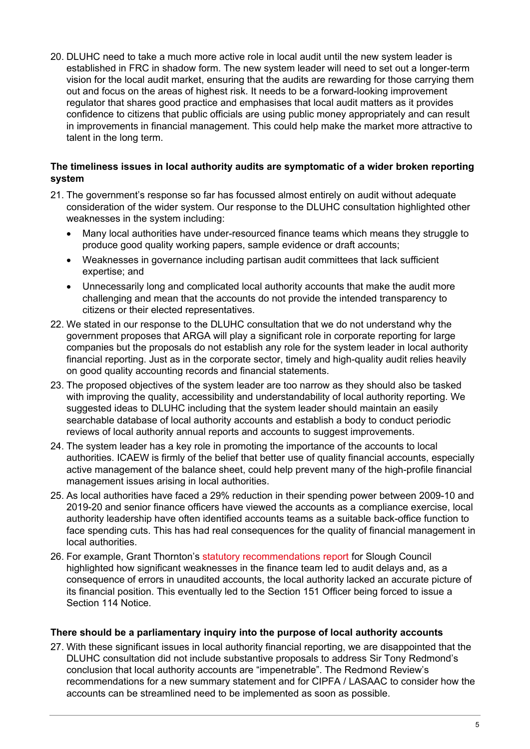20. DLUHC need to take a much more active role in local audit until the new system leader is established in FRC in shadow form. The new system leader will need to set out a longer-term vision for the local audit market, ensuring that the audits are rewarding for those carrying them out and focus on the areas of highest risk. It needs to be a forward-looking improvement regulator that shares good practice and emphasises that local audit matters as it provides confidence to citizens that public officials are using public money appropriately and can result in improvements in financial management. This could help make the market more attractive to talent in the long term.

#### **The timeliness issues in local authority audits are symptomatic of a wider broken reporting system**

- 21. The government's response so far has focussed almost entirely on audit without adequate consideration of the wider system. Our response to the DLUHC consultation highlighted other weaknesses in the system including:
	- Many local authorities have under-resourced finance teams which means they struggle to produce good quality working papers, sample evidence or draft accounts;
	- Weaknesses in governance including partisan audit committees that lack sufficient expertise; and
	- Unnecessarily long and complicated local authority accounts that make the audit more challenging and mean that the accounts do not provide the intended transparency to citizens or their elected representatives.
- 22. We stated in our response to the DLUHC consultation that we do not understand why the government proposes that ARGA will play a significant role in corporate reporting for large companies but the proposals do not establish any role for the system leader in local authority financial reporting. Just as in the corporate sector, timely and high-quality audit relies heavily on good quality accounting records and financial statements.
- 23. The proposed objectives of the system leader are too narrow as they should also be tasked with improving the quality, accessibility and understandability of local authority reporting. We suggested ideas to DLUHC including that the system leader should maintain an easily searchable database of local authority accounts and establish a body to conduct periodic reviews of local authority annual reports and accounts to suggest improvements.
- 24. The system leader has a key role in promoting the importance of the accounts to local authorities. ICAEW is firmly of the belief that better use of quality financial accounts, especially active management of the balance sheet, could help prevent many of the high-profile financial management issues arising in local authorities.
- 25. As local authorities have faced a 29% reduction in their spending power between 2009-10 and 2019-20 and senior finance officers have viewed the accounts as a compliance exercise, local authority leadership have often identified accounts teams as a suitable back-office function to face spending cuts. This has had real consequences for the quality of financial management in local authorities.
- 26. For example, Grant Thornton's [statutory](https://democracy.slough.gov.uk/documents/s63970/Grant%20Thornton%20-%20S24%20statutory%20recommendations.pdf) [recommendations](https://democracy.slough.gov.uk/documents/s63970/Grant%20Thornton%20-%20S24%20statutory%20recommendations.pdf) [report](https://democracy.slough.gov.uk/documents/s63970/Grant%20Thornton%20-%20S24%20statutory%20recommendations.pdf) for Slough Council highlighted how significant weaknesses in the finance team led to audit delays and, as a consequence of errors in unaudited accounts, the local authority lacked an accurate picture of its financial position. This eventually led to the Section 151 Officer being forced to issue a Section 114 Notice.

## **There should be a parliamentary inquiry into the purpose of local authority accounts**

27. With these significant issues in local authority financial reporting, we are disappointed that the DLUHC consultation did not include substantive proposals to address Sir Tony Redmond's conclusion that local authority accounts are "impenetrable". The Redmond Review's recommendations for a new summary statement and for CIPFA / LASAAC to consider how the accounts can be streamlined need to be implemented as soon as possible.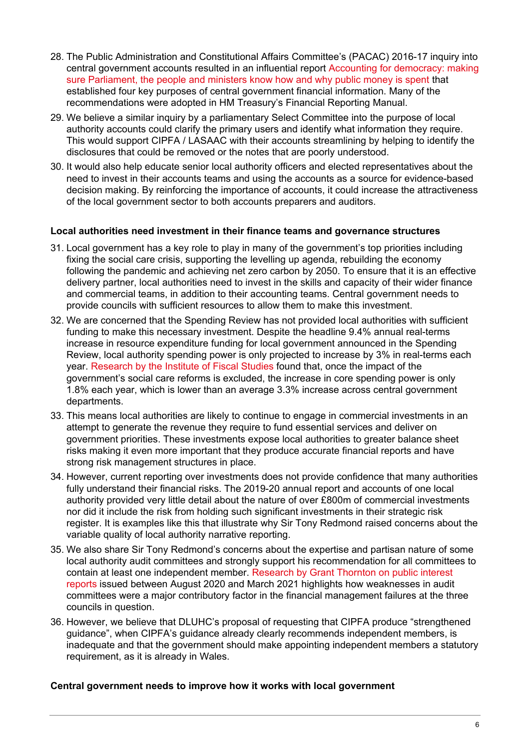- 28. The Public Administration and Constitutional Affairs Committee's (PACAC) 2016-17 inquiry into central government accounts resulted in an influential report [Accounting](https://publications.parliament.uk/pa/cm201617/cmselect/cmpubadm/95/95.pdf) [for](https://publications.parliament.uk/pa/cm201617/cmselect/cmpubadm/95/95.pdf) [democracy:](https://publications.parliament.uk/pa/cm201617/cmselect/cmpubadm/95/95.pdf) [making](https://publications.parliament.uk/pa/cm201617/cmselect/cmpubadm/95/95.pdf) [sure](https://publications.parliament.uk/pa/cm201617/cmselect/cmpubadm/95/95.pdf) [Parliament,](https://publications.parliament.uk/pa/cm201617/cmselect/cmpubadm/95/95.pdf) [the](https://publications.parliament.uk/pa/cm201617/cmselect/cmpubadm/95/95.pdf) [people](https://publications.parliament.uk/pa/cm201617/cmselect/cmpubadm/95/95.pdf) [and](https://publications.parliament.uk/pa/cm201617/cmselect/cmpubadm/95/95.pdf) [ministers](https://publications.parliament.uk/pa/cm201617/cmselect/cmpubadm/95/95.pdf) [know](https://publications.parliament.uk/pa/cm201617/cmselect/cmpubadm/95/95.pdf) [how](https://publications.parliament.uk/pa/cm201617/cmselect/cmpubadm/95/95.pdf) [and](https://publications.parliament.uk/pa/cm201617/cmselect/cmpubadm/95/95.pdf) [why](https://publications.parliament.uk/pa/cm201617/cmselect/cmpubadm/95/95.pdf) [public](https://publications.parliament.uk/pa/cm201617/cmselect/cmpubadm/95/95.pdf) [money](https://publications.parliament.uk/pa/cm201617/cmselect/cmpubadm/95/95.pdf) [is](https://publications.parliament.uk/pa/cm201617/cmselect/cmpubadm/95/95.pdf) [spent](https://publications.parliament.uk/pa/cm201617/cmselect/cmpubadm/95/95.pdf) that established four key purposes of central government financial information. Many of the recommendations were adopted in HM Treasury's Financial Reporting Manual.
- 29. We believe a similar inquiry by a parliamentary Select Committee into the purpose of local authority accounts could clarify the primary users and identify what information they require. This would support CIPFA / LASAAC with their accounts streamlining by helping to identify the disclosures that could be removed or the notes that are poorly understood.
- 30. It would also help educate senior local authority officers and elected representatives about the need to invest in their accounts teams and using the accounts as a source for evidence-based decision making. By reinforcing the importance of accounts, it could increase the attractiveness of the local government sector to both accounts preparers and auditors.

#### **Local authorities need investment in their finance teams and governance structures**

- 31. Local government has a key role to play in many of the government's top priorities including fixing the social care crisis, supporting the levelling up agenda, rebuilding the economy following the pandemic and achieving net zero carbon by 2050. To ensure that it is an effective delivery partner, local authorities need to invest in the skills and capacity of their wider finance and commercial teams, in addition to their accounting teams. Central government needs to provide councils with sufficient resources to allow them to make this investment.
- 32. We are concerned that the Spending Review has not provided local authorities with sufficient funding to make this necessary investment. Despite the headline 9.4% annual real-terms increase in resource expenditure funding for local government announced in the Spending Review, local authority spending power is only projected to increase by 3% in real-terms each year. [Research](https://ifs.org.uk/uploads/Autumn-Budget-2021-Austerity-over-but-not-undone-Ben-Zaranko.pdf) [by](https://ifs.org.uk/uploads/Autumn-Budget-2021-Austerity-over-but-not-undone-Ben-Zaranko.pdf) [the](https://ifs.org.uk/uploads/Autumn-Budget-2021-Austerity-over-but-not-undone-Ben-Zaranko.pdf) [Institute](https://ifs.org.uk/uploads/Autumn-Budget-2021-Austerity-over-but-not-undone-Ben-Zaranko.pdf) [of](https://ifs.org.uk/uploads/Autumn-Budget-2021-Austerity-over-but-not-undone-Ben-Zaranko.pdf) [Fiscal](https://ifs.org.uk/uploads/Autumn-Budget-2021-Austerity-over-but-not-undone-Ben-Zaranko.pdf) [Studies](https://ifs.org.uk/uploads/Autumn-Budget-2021-Austerity-over-but-not-undone-Ben-Zaranko.pdf) found that, once the impact of the government's social care reforms is excluded, the increase in core spending power is only 1.8% each year, which is lower than an average 3.3% increase across central government departments.
- 33. This means local authorities are likely to continue to engage in commercial investments in an attempt to generate the revenue they require to fund essential services and deliver on government priorities. These investments expose local authorities to greater balance sheet risks making it even more important that they produce accurate financial reports and have strong risk management structures in place.
- 34. However, current reporting over investments does not provide confidence that many authorities fully understand their financial risks. The 2019-20 annual report and accounts of one local authority provided very little detail about the nature of over £800m of commercial investments nor did it include the risk from holding such significant investments in their strategic risk register. It is examples like this that illustrate why Sir Tony Redmond raised concerns about the variable quality of local authority narrative reporting.
- 35. We also share Sir Tony Redmond's concerns about the expertise and partisan nature of some local authority audit committees and strongly support his recommendation for all committees to contain at least one independent member. [Research](https://www.icaew.com/insights/viewpoints-on-the-news/2021/mar-2021/local-government-governance-failures-provide-insights-for-councils-and-their-audit-committees) [by](https://www.icaew.com/insights/viewpoints-on-the-news/2021/mar-2021/local-government-governance-failures-provide-insights-for-councils-and-their-audit-committees) [Grant](https://www.icaew.com/insights/viewpoints-on-the-news/2021/mar-2021/local-government-governance-failures-provide-insights-for-councils-and-their-audit-committees) [Thornton](https://www.icaew.com/insights/viewpoints-on-the-news/2021/mar-2021/local-government-governance-failures-provide-insights-for-councils-and-their-audit-committees) [on](https://www.icaew.com/insights/viewpoints-on-the-news/2021/mar-2021/local-government-governance-failures-provide-insights-for-councils-and-their-audit-committees) [public](https://www.icaew.com/insights/viewpoints-on-the-news/2021/mar-2021/local-government-governance-failures-provide-insights-for-councils-and-their-audit-committees) [interest](https://www.icaew.com/insights/viewpoints-on-the-news/2021/mar-2021/local-government-governance-failures-provide-insights-for-councils-and-their-audit-committees) [reports](https://www.icaew.com/insights/viewpoints-on-the-news/2021/mar-2021/local-government-governance-failures-provide-insights-for-councils-and-their-audit-committees) issued between August 2020 and March 2021 highlights how weaknesses in audit committees were a major contributory factor in the financial management failures at the three councils in question.
- 36. However, we believe that DLUHC's proposal of requesting that CIPFA produce "strengthened guidance", when CIPFA's guidance already clearly recommends independent members, is inadequate and that the government should make appointing independent members a statutory requirement, as it is already in Wales.

## **Central government needs to improve how it works with local government**